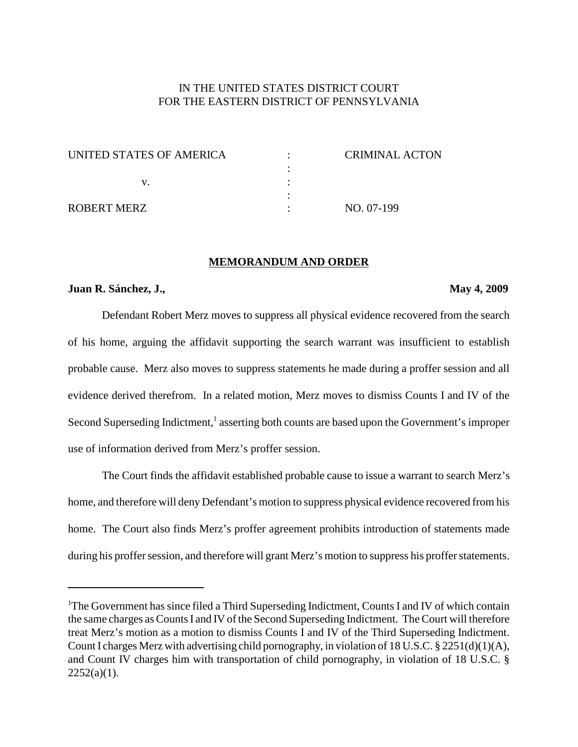# IN THE UNITED STATES DISTRICT COURT FOR THE EASTERN DISTRICT OF PENNSYLVANIA

| UNITED STATES OF AMERICA | CRIMINAL ACTON |
|--------------------------|----------------|
|                          |                |
|                          |                |
|                          |                |
| ROBERT MERZ              | NO. 07-199     |

#### **MEMORANDUM AND ORDER**

#### **Juan R. Sánchez, J., May 4, 2009**

Defendant Robert Merz moves to suppress all physical evidence recovered from the search of his home, arguing the affidavit supporting the search warrant was insufficient to establish probable cause. Merz also moves to suppress statements he made during a proffer session and all evidence derived therefrom. In a related motion, Merz moves to dismiss Counts I and IV of the Second Superseding Indictment,<sup>1</sup> asserting both counts are based upon the Government's improper use of information derived from Merz's proffer session.

The Court finds the affidavit established probable cause to issue a warrant to search Merz's home, and therefore will deny Defendant's motion to suppress physical evidence recovered from his home. The Court also finds Merz's proffer agreement prohibits introduction of statements made during his proffer session, and therefore will grant Merz's motion to suppress his proffer statements.

<sup>&</sup>lt;sup>1</sup>The Government has since filed a Third Superseding Indictment, Counts I and IV of which contain the same charges as Counts I and IV of the Second Superseding Indictment. The Court will therefore treat Merz's motion as a motion to dismiss Counts I and IV of the Third Superseding Indictment. CountI charges Merz with advertising child pornography, in violation of 18 U.S.C. § 2251(d)(1)(A), and Count IV charges him with transportation of child pornography, in violation of 18 U.S.C. §  $2252(a)(1)$ .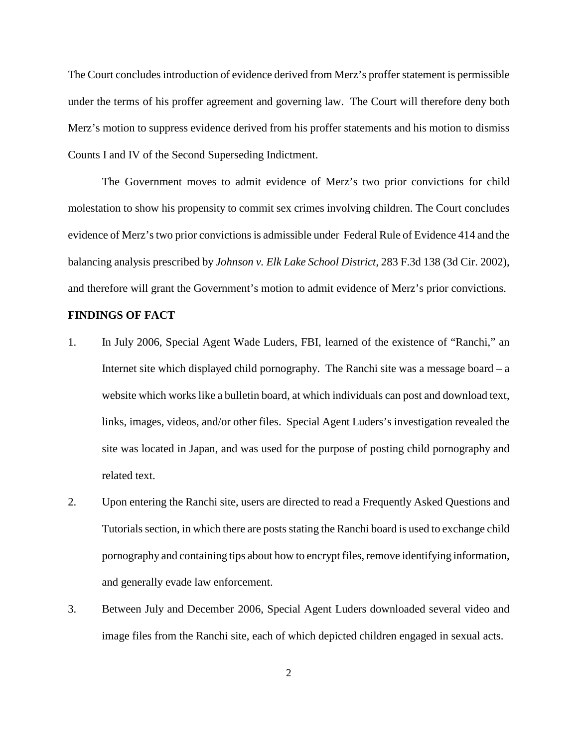The Court concludes introduction of evidence derived from Merz's proffer statement is permissible under the terms of his proffer agreement and governing law. The Court will therefore deny both Merz's motion to suppress evidence derived from his proffer statements and his motion to dismiss Counts I and IV of the Second Superseding Indictment.

The Government moves to admit evidence of Merz's two prior convictions for child molestation to show his propensity to commit sex crimes involving children. The Court concludes evidence of Merz's two prior convictions is admissible under Federal Rule of Evidence 414 and the balancing analysis prescribed by *Johnson v. Elk Lake School District*, 283 F.3d 138 (3d Cir. 2002), and therefore will grant the Government's motion to admit evidence of Merz's prior convictions.

## **FINDINGS OF FACT**

- 1. In July 2006, Special Agent Wade Luders, FBI, learned of the existence of "Ranchi," an Internet site which displayed child pornography. The Ranchi site was a message board  $-$  a website which workslike a bulletin board, at which individuals can post and download text, links, images, videos, and/or other files. Special Agent Luders's investigation revealed the site was located in Japan, and was used for the purpose of posting child pornography and related text.
- 2. Upon entering the Ranchi site, users are directed to read a Frequently Asked Questions and Tutorials section, in which there are posts stating the Ranchi board is used to exchange child pornography and containing tips about how to encrypt files, remove identifying information, and generally evade law enforcement.
- 3. Between July and December 2006, Special Agent Luders downloaded several video and image files from the Ranchi site, each of which depicted children engaged in sexual acts.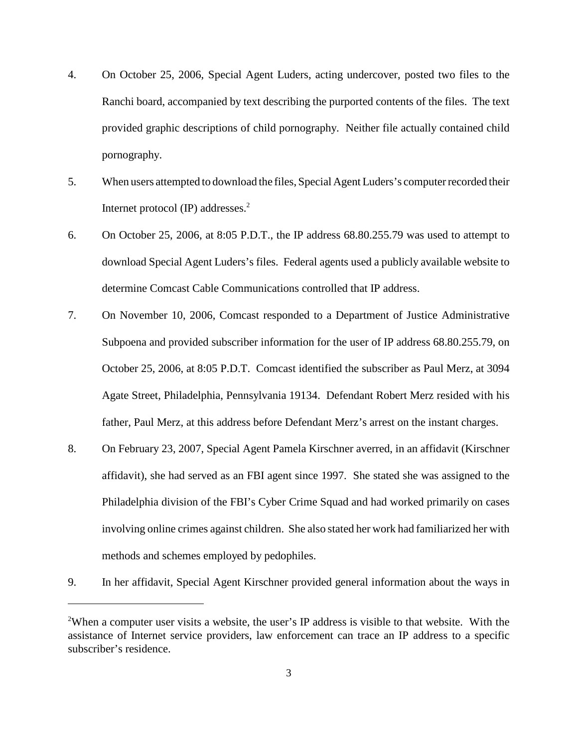- 4. On October 25, 2006, Special Agent Luders, acting undercover, posted two files to the Ranchi board, accompanied by text describing the purported contents of the files. The text provided graphic descriptions of child pornography. Neither file actually contained child pornography.
- 5. When users attempted to download the files, Special AgentLuders's computerrecorded their Internet protocol (IP) addresses. 2
- 6. On October 25, 2006, at 8:05 P.D.T., the IP address 68.80.255.79 was used to attempt to download Special Agent Luders's files. Federal agents used a publicly available website to determine Comcast Cable Communications controlled that IP address.
- 7. On November 10, 2006, Comcast responded to a Department of Justice Administrative Subpoena and provided subscriber information for the user of IP address 68.80.255.79, on October 25, 2006, at 8:05 P.D.T. Comcast identified the subscriber as Paul Merz, at 3094 Agate Street, Philadelphia, Pennsylvania 19134. Defendant Robert Merz resided with his father, Paul Merz, at this address before Defendant Merz's arrest on the instant charges.
- 8. On February 23, 2007, Special Agent Pamela Kirschner averred, in an affidavit (Kirschner affidavit), she had served as an FBI agent since 1997. She stated she was assigned to the Philadelphia division of the FBI's Cyber Crime Squad and had worked primarily on cases involving online crimes against children. She also stated her work had familiarized her with methods and schemes employed by pedophiles.
- 9. In her affidavit, Special Agent Kirschner provided general information about the ways in

<sup>&</sup>lt;sup>2</sup>When a computer user visits a website, the user's IP address is visible to that website. With the assistance of Internet service providers, law enforcement can trace an IP address to a specific subscriber's residence.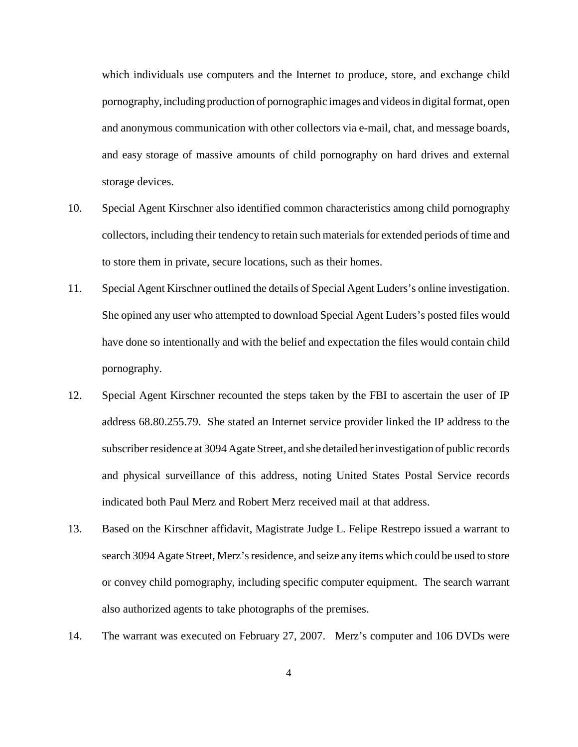which individuals use computers and the Internet to produce, store, and exchange child pornography, including production of pornographic images and videosin digitalformat, open and anonymous communication with other collectors via e-mail, chat, and message boards, and easy storage of massive amounts of child pornography on hard drives and external storage devices.

- 10. Special Agent Kirschner also identified common characteristics among child pornography collectors, including their tendency to retain such materials for extended periods of time and to store them in private, secure locations, such as their homes.
- 11. Special Agent Kirschner outlined the details of Special Agent Luders's online investigation. She opined any user who attempted to download Special Agent Luders's posted files would have done so intentionally and with the belief and expectation the files would contain child pornography.
- 12. Special Agent Kirschner recounted the steps taken by the FBI to ascertain the user of IP address 68.80.255.79. She stated an Internet service provider linked the IP address to the subscriberresidence at 3094 Agate Street, and she detailed herinvestigation of public records and physical surveillance of this address, noting United States Postal Service records indicated both Paul Merz and Robert Merz received mail at that address.
- 13. Based on the Kirschner affidavit, Magistrate Judge L. Felipe Restrepo issued a warrant to search 3094 Agate Street, Merz's residence, and seize any items which could be used to store or convey child pornography, including specific computer equipment. The search warrant also authorized agents to take photographs of the premises.
- 14. The warrant was executed on February 27, 2007. Merz's computer and 106 DVDs were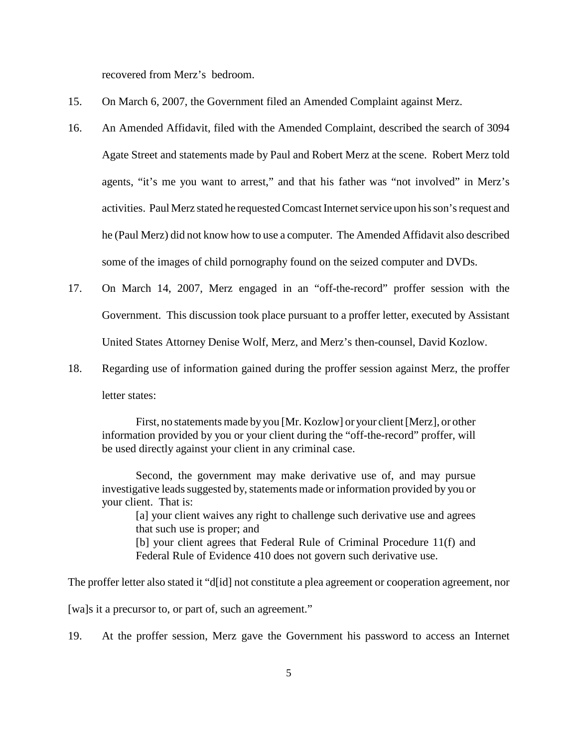recovered from Merz's bedroom.

- 15. On March 6, 2007, the Government filed an Amended Complaint against Merz.
- 16. An Amended Affidavit, filed with the Amended Complaint, described the search of 3094 Agate Street and statements made by Paul and Robert Merz at the scene. Robert Merz told agents, "it's me you want to arrest," and that his father was "not involved" in Merz's activities. Paul Merz stated he requested Comcast Internet service upon his son's request and he (Paul Merz) did not know how to use a computer. The Amended Affidavit also described some of the images of child pornography found on the seized computer and DVDs.
- 17. On March 14, 2007, Merz engaged in an "off-the-record" proffer session with the Government. This discussion took place pursuant to a proffer letter, executed by Assistant United States Attorney Denise Wolf, Merz, and Merz's then-counsel, David Kozlow.
- 18. Regarding use of information gained during the proffer session against Merz, the proffer letter states:

First, no statements made by you [Mr. Kozlow] or your client[Merz], or other information provided by you or your client during the "off-the-record" proffer, will be used directly against your client in any criminal case.

Second, the government may make derivative use of, and may pursue investigative leads suggested by, statements made or information provided by you or your client. That is:

[a] your client waives any right to challenge such derivative use and agrees that such use is proper; and [b] your client agrees that Federal Rule of Criminal Procedure 11(f) and Federal Rule of Evidence 410 does not govern such derivative use.

The proffer letter also stated it "d[id] not constitute a plea agreement or cooperation agreement, nor

[wa]s it a precursor to, or part of, such an agreement."

19. At the proffer session, Merz gave the Government his password to access an Internet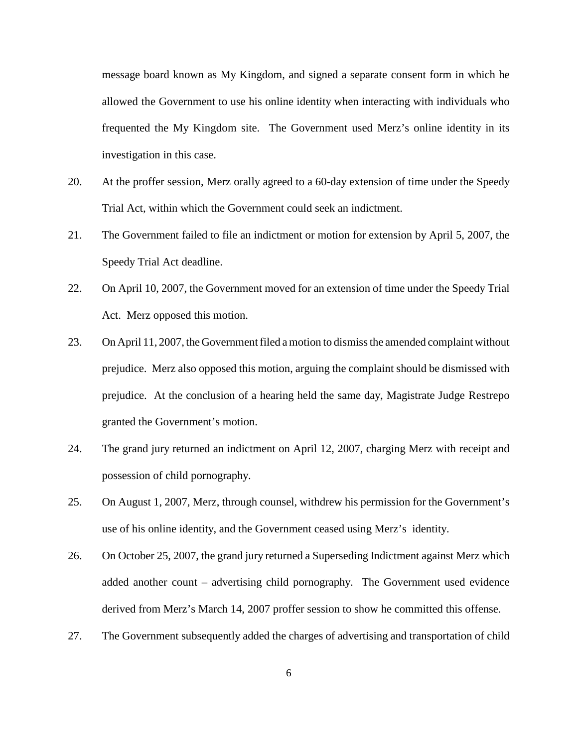message board known as My Kingdom, and signed a separate consent form in which he allowed the Government to use his online identity when interacting with individuals who frequented the My Kingdom site. The Government used Merz's online identity in its investigation in this case.

- 20. At the proffer session, Merz orally agreed to a 60-day extension of time under the Speedy Trial Act, within which the Government could seek an indictment.
- 21. The Government failed to file an indictment or motion for extension by April 5, 2007, the Speedy Trial Act deadline.
- 22. On April 10, 2007, the Government moved for an extension of time under the Speedy Trial Act. Merz opposed this motion.
- 23. On April 11, 2007, the Government filed a motion to dismiss the amended complaint without prejudice. Merz also opposed this motion, arguing the complaint should be dismissed with prejudice. At the conclusion of a hearing held the same day, Magistrate Judge Restrepo granted the Government's motion.
- 24. The grand jury returned an indictment on April 12, 2007, charging Merz with receipt and possession of child pornography.
- 25. On August 1, 2007, Merz, through counsel, withdrew his permission for the Government's use of his online identity, and the Government ceased using Merz's identity.
- 26. On October 25, 2007, the grand jury returned a Superseding Indictment against Merz which added another count – advertising child pornography. The Government used evidence derived from Merz's March 14, 2007 proffer session to show he committed this offense.
- 27. The Government subsequently added the charges of advertising and transportation of child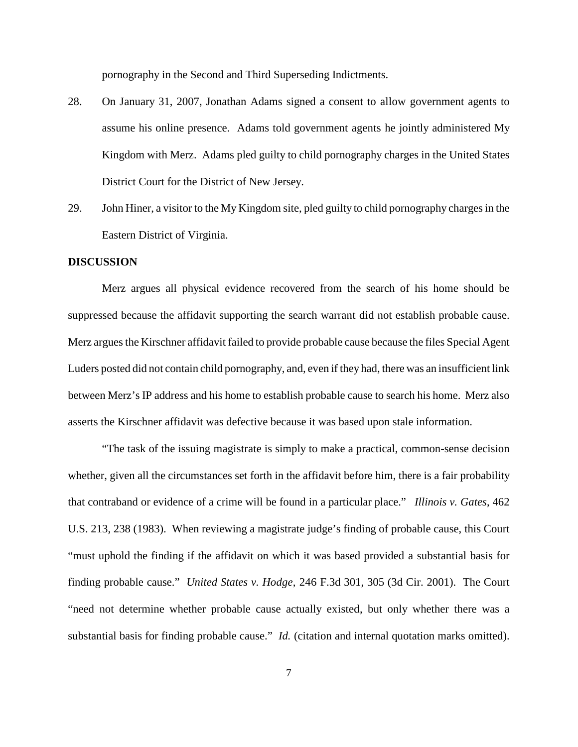pornography in the Second and Third Superseding Indictments.

- 28. On January 31, 2007, Jonathan Adams signed a consent to allow government agents to assume his online presence. Adams told government agents he jointly administered My Kingdom with Merz. Adams pled guilty to child pornography charges in the United States District Court for the District of New Jersey.
- 29. John Hiner, a visitor to the My Kingdom site, pled guilty to child pornography charges in the Eastern District of Virginia.

## **DISCUSSION**

Merz argues all physical evidence recovered from the search of his home should be suppressed because the affidavit supporting the search warrant did not establish probable cause. Merz argues the Kirschner affidavit failed to provide probable cause because the files Special Agent Luders posted did not contain child pornography, and, even if they had, there was an insufficient link between Merz's IP address and his home to establish probable cause to search his home. Merz also asserts the Kirschner affidavit was defective because it was based upon stale information.

"The task of the issuing magistrate is simply to make a practical, common-sense decision whether, given all the circumstances set forth in the affidavit before him, there is a fair probability that contraband or evidence of a crime will be found in a particular place." *Illinois v. Gates*, 462 U.S. 213, 238 (1983). When reviewing a magistrate judge's finding of probable cause, this Court "must uphold the finding if the affidavit on which it was based provided a substantial basis for finding probable cause." *United States v. Hodge*, 246 F.3d 301, 305 (3d Cir. 2001). The Court "need not determine whether probable cause actually existed, but only whether there was a substantial basis for finding probable cause." *Id.* (citation and internal quotation marks omitted).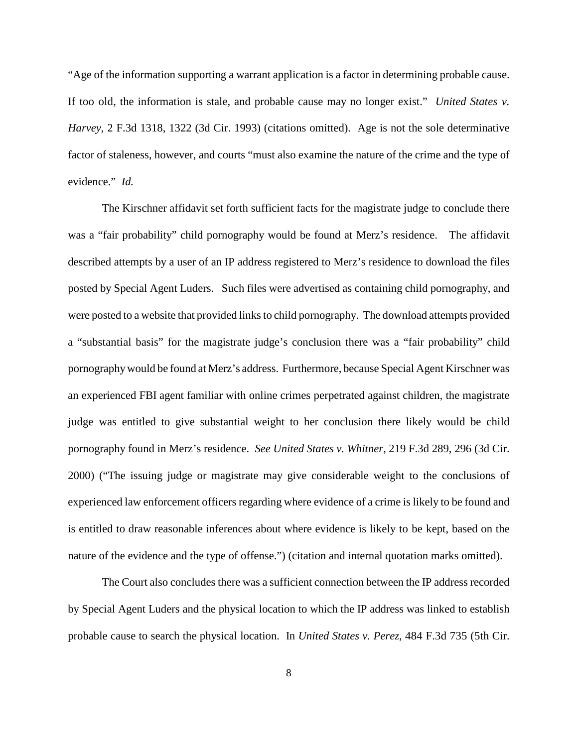"Age of the information supporting a warrant application is a factor in determining probable cause. If too old, the information is stale, and probable cause may no longer exist." *United States v. Harvey*, 2 F.3d 1318, 1322 (3d Cir. 1993) (citations omitted). Age is not the sole determinative factor of staleness, however, and courts "must also examine the nature of the crime and the type of evidence." *Id.*

The Kirschner affidavit set forth sufficient facts for the magistrate judge to conclude there was a "fair probability" child pornography would be found at Merz's residence. The affidavit described attempts by a user of an IP address registered to Merz's residence to download the files posted by Special Agent Luders. Such files were advertised as containing child pornography, and were posted to a website that provided links to child pornography. The download attempts provided a "substantial basis" for the magistrate judge's conclusion there was a "fair probability" child pornographywould be found at Merz's address. Furthermore, because Special Agent Kirschner was an experienced FBI agent familiar with online crimes perpetrated against children, the magistrate judge was entitled to give substantial weight to her conclusion there likely would be child pornography found in Merz's residence. *See United States v. Whitner*, 219 F.3d 289, 296 (3d Cir. 2000) ("The issuing judge or magistrate may give considerable weight to the conclusions of experienced law enforcement officers regarding where evidence of a crime is likely to be found and is entitled to draw reasonable inferences about where evidence is likely to be kept, based on the nature of the evidence and the type of offense.") (citation and internal quotation marks omitted).

The Court also concludes there was a sufficient connection between the IP address recorded by Special Agent Luders and the physical location to which the IP address was linked to establish probable cause to search the physical location. In *United States v. Perez*, 484 F.3d 735 (5th Cir.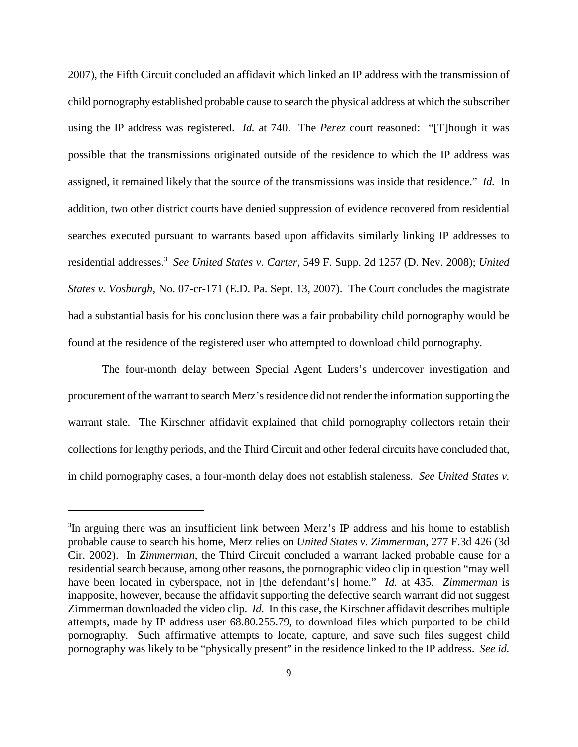2007), the Fifth Circuit concluded an affidavit which linked an IP address with the transmission of child pornography established probable cause to search the physical address at which the subscriber using the IP address was registered. *Id.* at 740. The *Perez* court reasoned: "[T]hough it was possible that the transmissions originated outside of the residence to which the IP address was assigned, it remained likely that the source of the transmissions was inside that residence." *Id.* In addition, two other district courts have denied suppression of evidence recovered from residential searches executed pursuant to warrants based upon affidavits similarly linking IP addresses to residential addresses. <sup>3</sup> *See United States v. Carter*, 549 F. Supp. 2d 1257 (D. Nev. 2008); *United States v. Vosburgh*, No. 07-cr-171 (E.D. Pa. Sept. 13, 2007). The Court concludes the magistrate had a substantial basis for his conclusion there was a fair probability child pornography would be found at the residence of the registered user who attempted to download child pornography.

The four-month delay between Special Agent Luders's undercover investigation and procurement of the warrant to search Merz's residence did not render the information supporting the warrant stale. The Kirschner affidavit explained that child pornography collectors retain their collections for lengthy periods, and the Third Circuit and other federal circuits have concluded that, in child pornography cases, a four-month delay does not establish staleness. *See United States v.*

<sup>&</sup>lt;sup>3</sup>In arguing there was an insufficient link between Merz's IP address and his home to establish probable cause to search his home, Merz relies on *United States v. Zimmerman*, 277 F.3d 426 (3d Cir. 2002). In *Zimmerman*, the Third Circuit concluded a warrant lacked probable cause for a residential search because, among other reasons, the pornographic video clip in question "may well have been located in cyberspace, not in [the defendant's] home." *Id.* at 435. *Zimmerman* is inapposite, however, because the affidavit supporting the defective search warrant did not suggest Zimmerman downloaded the video clip. *Id.* In this case, the Kirschner affidavit describes multiple attempts, made by IP address user 68.80.255.79, to download files which purported to be child pornography. Such affirmative attempts to locate, capture, and save such files suggest child pornography was likely to be "physically present" in the residence linked to the IP address. *See id.*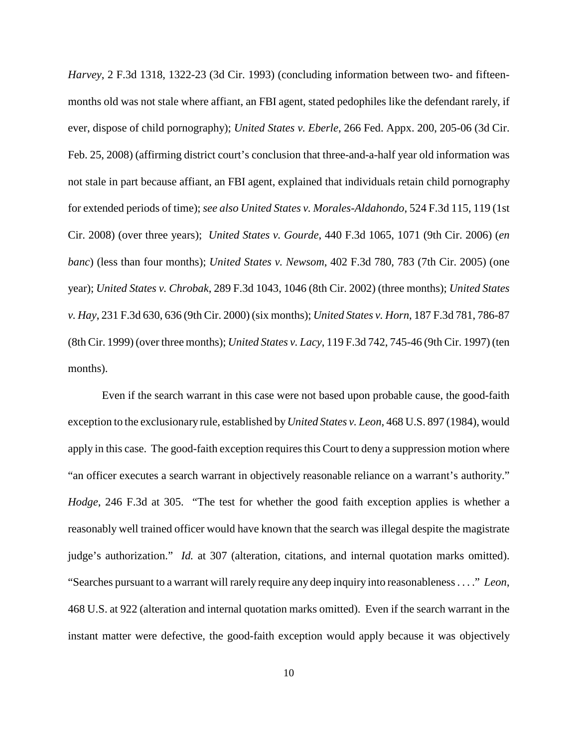*Harvey*, 2 F.3d 1318, 1322-23 (3d Cir. 1993) (concluding information between two- and fifteenmonths old was not stale where affiant, an FBI agent, stated pedophiles like the defendant rarely, if ever, dispose of child pornography); *United States v. Eberle*, 266 Fed. Appx. 200, 205-06 (3d Cir. Feb. 25, 2008) (affirming district court's conclusion that three-and-a-half year old information was not stale in part because affiant, an FBI agent, explained that individuals retain child pornography for extended periods of time); *see also United States v. Morales-Aldahondo*, 524 F.3d 115, 119 (1st Cir. 2008) (over three years); *United States v. Gourde*, 440 F.3d 1065, 1071 (9th Cir. 2006) (*en banc*) (less than four months); *United States v. Newsom*, 402 F.3d 780, 783 (7th Cir. 2005) (one year); *United States v. Chrobak*, 289 F.3d 1043, 1046 (8th Cir. 2002) (three months); *United States v. Hay*, 231 F.3d 630, 636 (9th Cir. 2000) (six months); *United States v. Horn*, 187 F.3d 781, 786-87 (8th Cir. 1999) (over three months); *United States v. Lacy*, 119 F.3d 742, 745-46 (9th Cir. 1997) (ten months).

Even if the search warrant in this case were not based upon probable cause, the good-faith exception to the exclusionary rule, established by*United States v. Leon*, 468 U.S. 897 (1984), would apply in this case. The good-faith exception requires this Court to deny a suppression motion where "an officer executes a search warrant in objectively reasonable reliance on a warrant's authority." *Hodge*, 246 F.3d at 305. "The test for whether the good faith exception applies is whether a reasonably well trained officer would have known that the search was illegal despite the magistrate judge's authorization." *Id.* at 307 (alteration, citations, and internal quotation marks omitted). "Searches pursuant to a warrant will rarely require any deep inquiry into reasonableness. . . ." *Leon*, 468 U.S. at 922 (alteration and internal quotation marks omitted). Even if the search warrant in the instant matter were defective, the good-faith exception would apply because it was objectively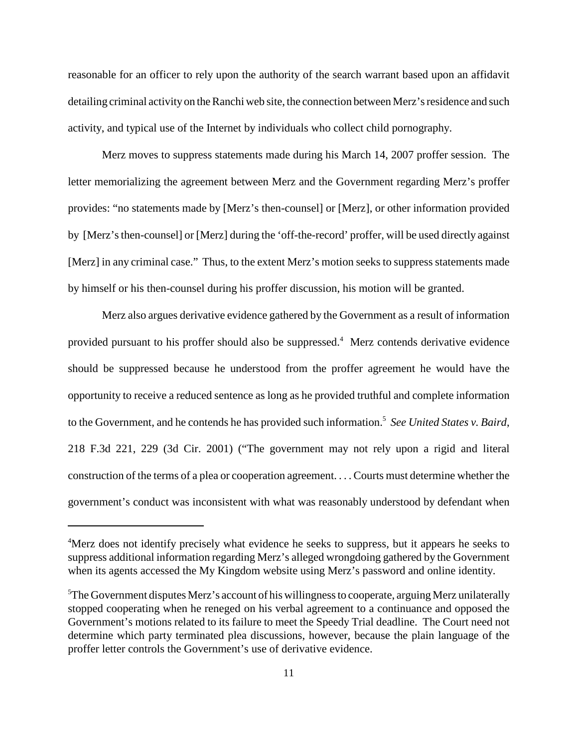reasonable for an officer to rely upon the authority of the search warrant based upon an affidavit detailing criminal activity on the Ranchi web site, the connection between Merz's residence and such activity, and typical use of the Internet by individuals who collect child pornography.

Merz moves to suppress statements made during his March 14, 2007 proffer session. The letter memorializing the agreement between Merz and the Government regarding Merz's proffer provides: "no statements made by [Merz's then-counsel] or [Merz], or other information provided by [Merz'sthen-counsel] or [Merz] during the 'off-the-record' proffer, will be used directly against [Merz] in any criminal case." Thus, to the extent Merz's motion seeks to suppress statements made by himself or his then-counsel during his proffer discussion, his motion will be granted.

Merz also argues derivative evidence gathered by the Government as a result of information provided pursuant to his proffer should also be suppressed. <sup>4</sup> Merz contends derivative evidence should be suppressed because he understood from the proffer agreement he would have the opportunity to receive a reduced sentence as long as he provided truthful and complete information to the Government, and he contends he has provided such information. <sup>5</sup> *See United States v. Baird*, 218 F.3d 221, 229 (3d Cir. 2001) ("The government may not rely upon a rigid and literal construction of the terms of a plea or cooperation agreement. . . . Courts must determine whether the government's conduct was inconsistent with what was reasonably understood by defendant when

<sup>&</sup>lt;sup>4</sup>Merz does not identify precisely what evidence he seeks to suppress, but it appears he seeks to suppress additional information regarding Merz's alleged wrongdoing gathered by the Government when its agents accessed the My Kingdom website using Merz's password and online identity.

<sup>&</sup>lt;sup>5</sup>The Government disputes Merz's account of his willingness to cooperate, arguing Merz unilaterally stopped cooperating when he reneged on his verbal agreement to a continuance and opposed the Government's motions related to its failure to meet the Speedy Trial deadline. The Court need not determine which party terminated plea discussions, however, because the plain language of the proffer letter controls the Government's use of derivative evidence.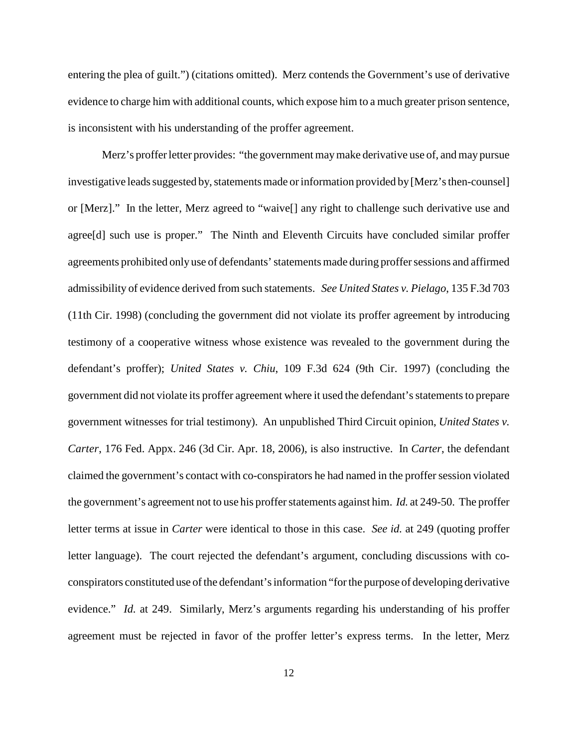entering the plea of guilt.") (citations omitted). Merz contends the Government's use of derivative evidence to charge him with additional counts, which expose him to a much greater prison sentence, is inconsistent with his understanding of the proffer agreement.

Merz's proffer letter provides: "the government may make derivative use of, and may pursue investigative leads suggested by, statements made or information provided by [Merz's then-counsel] or [Merz]." In the letter, Merz agreed to "waive[] any right to challenge such derivative use and agree[d] such use is proper." The Ninth and Eleventh Circuits have concluded similar proffer agreements prohibited only use of defendants' statements made during proffer sessions and affirmed admissibility of evidence derived from such statements. *See United States v. Pielago*, 135 F.3d 703 (11th Cir. 1998) (concluding the government did not violate its proffer agreement by introducing testimony of a cooperative witness whose existence was revealed to the government during the defendant's proffer); *United States v. Chiu*, 109 F.3d 624 (9th Cir. 1997) (concluding the government did not violate its proffer agreement where it used the defendant'sstatementsto prepare government witnesses for trial testimony). An unpublished Third Circuit opinion, *United States v. Carter*, 176 Fed. Appx. 246 (3d Cir. Apr. 18, 2006), is also instructive. In *Carter*, the defendant claimed the government's contact with co-conspirators he had named in the proffersession violated the government's agreement not to use his proffer statements against him. *Id.* at 249-50. The proffer letter terms at issue in *Carter* were identical to those in this case. *See id.* at 249 (quoting proffer letter language). The court rejected the defendant's argument, concluding discussions with coconspirators constituted use of the defendant's information "for the purpose of developing derivative evidence." *Id.* at 249. Similarly, Merz's arguments regarding his understanding of his proffer agreement must be rejected in favor of the proffer letter's express terms. In the letter, Merz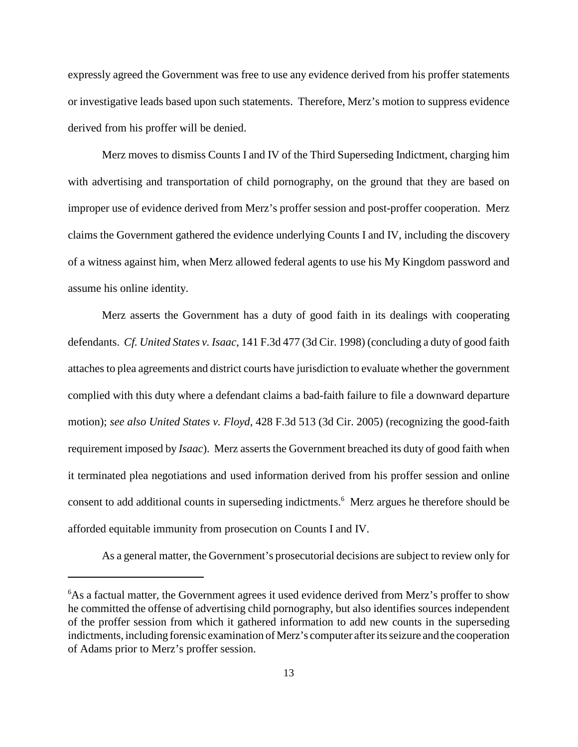expressly agreed the Government was free to use any evidence derived from his proffer statements or investigative leads based upon such statements. Therefore, Merz's motion to suppress evidence derived from his proffer will be denied.

Merz moves to dismiss Counts I and IV of the Third Superseding Indictment, charging him with advertising and transportation of child pornography, on the ground that they are based on improper use of evidence derived from Merz's proffer session and post-proffer cooperation. Merz claims the Government gathered the evidence underlying Counts I and IV, including the discovery of a witness against him, when Merz allowed federal agents to use his My Kingdom password and assume his online identity.

Merz asserts the Government has a duty of good faith in its dealings with cooperating defendants. *Cf. United States v. Isaac*, 141 F.3d 477 (3d Cir. 1998) (concluding a duty of good faith attachesto plea agreements and district courts have jurisdiction to evaluate whether the government complied with this duty where a defendant claims a bad-faith failure to file a downward departure motion); *see also United States v. Floyd*, 428 F.3d 513 (3d Cir. 2005) (recognizing the good-faith requirement imposed by *Isaac*). Merz asserts the Government breached its duty of good faith when it terminated plea negotiations and used information derived from his proffer session and online consent to add additional counts in superseding indictments. <sup>6</sup> Merz argues he therefore should be afforded equitable immunity from prosecution on Counts I and IV.

As a general matter, the Government's prosecutorial decisions are subject to review only for

<sup>&</sup>lt;sup>6</sup>As a factual matter, the Government agrees it used evidence derived from Merz's proffer to show he committed the offense of advertising child pornography, but also identifies sources independent of the proffer session from which it gathered information to add new counts in the superseding indictments, including forensic examination of Merz's computer after its seizure and the cooperation of Adams prior to Merz's proffer session.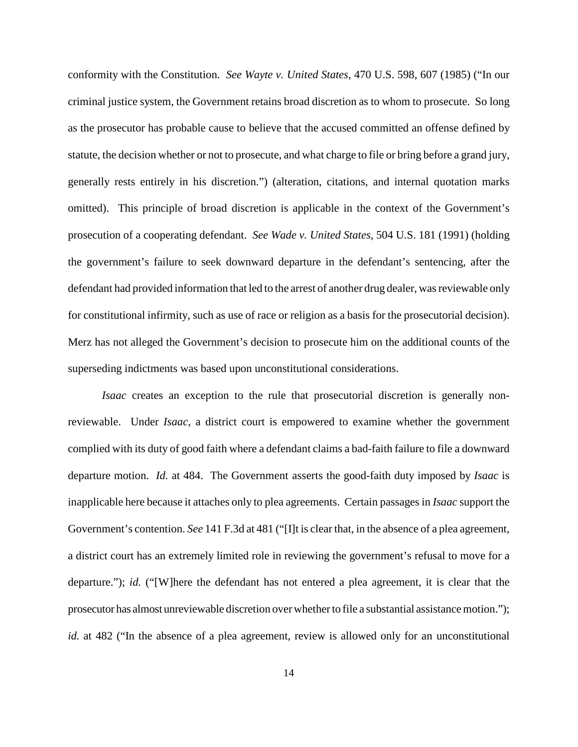conformity with the Constitution. *See Wayte v. United States*, 470 U.S. 598, 607 (1985) ("In our criminal justice system, the Government retains broad discretion as to whom to prosecute. So long as the prosecutor has probable cause to believe that the accused committed an offense defined by statute, the decision whether or not to prosecute, and what charge to file or bring before a grand jury, generally rests entirely in his discretion.") (alteration, citations, and internal quotation marks omitted). This principle of broad discretion is applicable in the context of the Government's prosecution of a cooperating defendant. *See Wade v. United States*, 504 U.S. 181 (1991) (holding the government's failure to seek downward departure in the defendant's sentencing, after the defendant had provided information that led to the arrest of another drug dealer, wasreviewable only for constitutional infirmity, such as use of race or religion as a basis for the prosecutorial decision). Merz has not alleged the Government's decision to prosecute him on the additional counts of the superseding indictments was based upon unconstitutional considerations.

*Isaac* creates an exception to the rule that prosecutorial discretion is generally nonreviewable. Under *Isaac*, a district court is empowered to examine whether the government complied with its duty of good faith where a defendant claims a bad-faith failure to file a downward departure motion. *Id.* at 484. The Government asserts the good-faith duty imposed by *Isaac* is inapplicable here because it attaches only to plea agreements. Certain passages in *Isaac* support the Government's contention. *See* 141 F.3d at 481 ("[I]t is clear that, in the absence of a plea agreement, a district court has an extremely limited role in reviewing the government's refusal to move for a departure."); *id.* ("[W]here the defendant has not entered a plea agreement, it is clear that the prosecutor has almost unreviewable discretion over whether to file a substantial assistance motion."); *id.* at 482 ("In the absence of a plea agreement, review is allowed only for an unconstitutional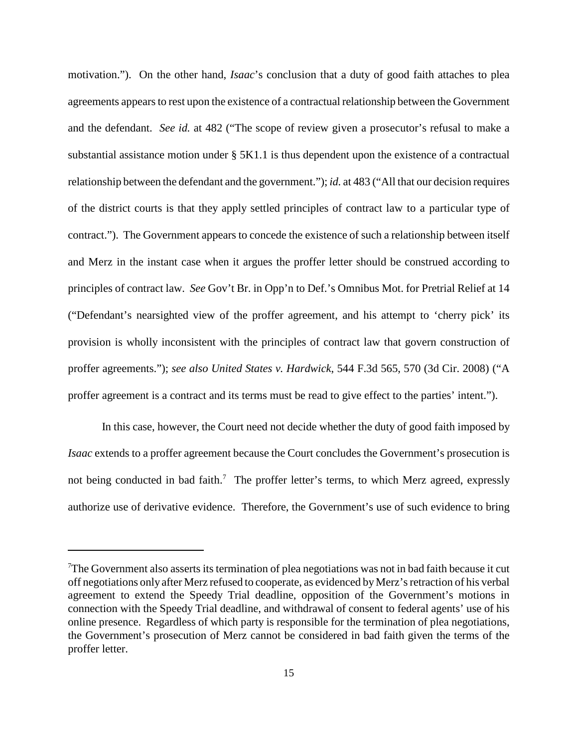motivation."). On the other hand, *Isaac*'s conclusion that a duty of good faith attaches to plea agreements appears to rest upon the existence of a contractual relationship between the Government and the defendant. *See id.* at 482 ("The scope of review given a prosecutor's refusal to make a substantial assistance motion under § 5K1.1 is thus dependent upon the existence of a contractual relationship between the defendant and the government."); *id.* at 483 ("All that our decision requires of the district courts is that they apply settled principles of contract law to a particular type of contract."). The Government appears to concede the existence of such a relationship between itself and Merz in the instant case when it argues the proffer letter should be construed according to principles of contract law. *See* Gov't Br. in Opp'n to Def.'s Omnibus Mot. for Pretrial Relief at 14 ("Defendant's nearsighted view of the proffer agreement, and his attempt to 'cherry pick' its provision is wholly inconsistent with the principles of contract law that govern construction of proffer agreements."); *see also United States v. Hardwick*, 544 F.3d 565, 570 (3d Cir. 2008) ("A proffer agreement is a contract and its terms must be read to give effect to the parties' intent.").

In this case, however, the Court need not decide whether the duty of good faith imposed by *Isaac* extends to a proffer agreement because the Court concludes the Government's prosecution is not being conducted in bad faith.<sup>7</sup> The proffer letter's terms, to which Merz agreed, expressly authorize use of derivative evidence. Therefore, the Government's use of such evidence to bring

 $\sigma$ The Government also asserts its termination of plea negotiations was not in bad faith because it cut off negotiations only after Merz refused to cooperate, as evidenced byMerz'sretraction of his verbal agreement to extend the Speedy Trial deadline, opposition of the Government's motions in connection with the Speedy Trial deadline, and withdrawal of consent to federal agents' use of his online presence. Regardless of which party is responsible for the termination of plea negotiations, the Government's prosecution of Merz cannot be considered in bad faith given the terms of the proffer letter.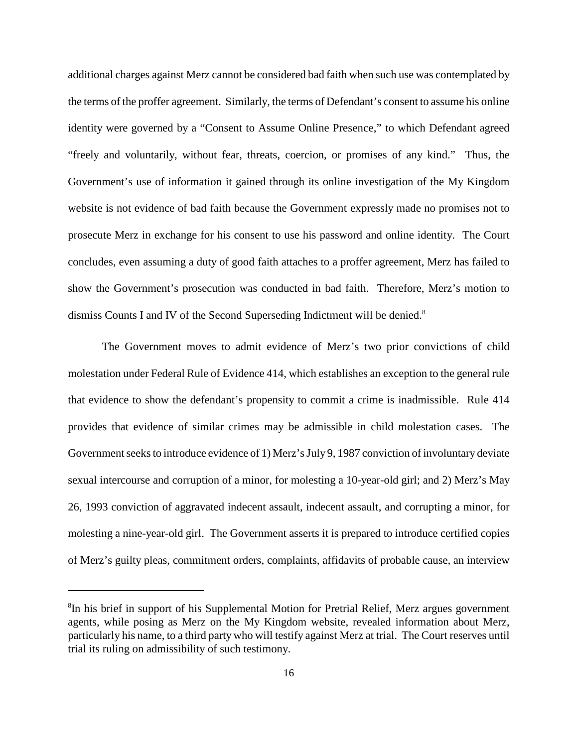additional charges against Merz cannot be considered bad faith when such use was contemplated by the terms of the proffer agreement. Similarly, the terms of Defendant's consent to assume his online identity were governed by a "Consent to Assume Online Presence," to which Defendant agreed "freely and voluntarily, without fear, threats, coercion, or promises of any kind." Thus, the Government's use of information it gained through its online investigation of the My Kingdom website is not evidence of bad faith because the Government expressly made no promises not to prosecute Merz in exchange for his consent to use his password and online identity. The Court concludes, even assuming a duty of good faith attaches to a proffer agreement, Merz has failed to show the Government's prosecution was conducted in bad faith. Therefore, Merz's motion to dismiss Counts I and IV of the Second Superseding Indictment will be denied.<sup>8</sup>

The Government moves to admit evidence of Merz's two prior convictions of child molestation under Federal Rule of Evidence 414, which establishes an exception to the general rule that evidence to show the defendant's propensity to commit a crime is inadmissible. Rule 414 provides that evidence of similar crimes may be admissible in child molestation cases. The Government seeks to introduce evidence of 1) Merz's July 9, 1987 conviction of involuntary deviate sexual intercourse and corruption of a minor, for molesting a 10-year-old girl; and 2) Merz's May 26, 1993 conviction of aggravated indecent assault, indecent assault, and corrupting a minor, for molesting a nine-year-old girl. The Government asserts it is prepared to introduce certified copies of Merz's guilty pleas, commitment orders, complaints, affidavits of probable cause, an interview

<sup>&</sup>lt;sup>8</sup>In his brief in support of his Supplemental Motion for Pretrial Relief, Merz argues government agents, while posing as Merz on the My Kingdom website, revealed information about Merz, particularly his name, to a third party who will testify against Merz at trial. The Court reserves until trial its ruling on admissibility of such testimony.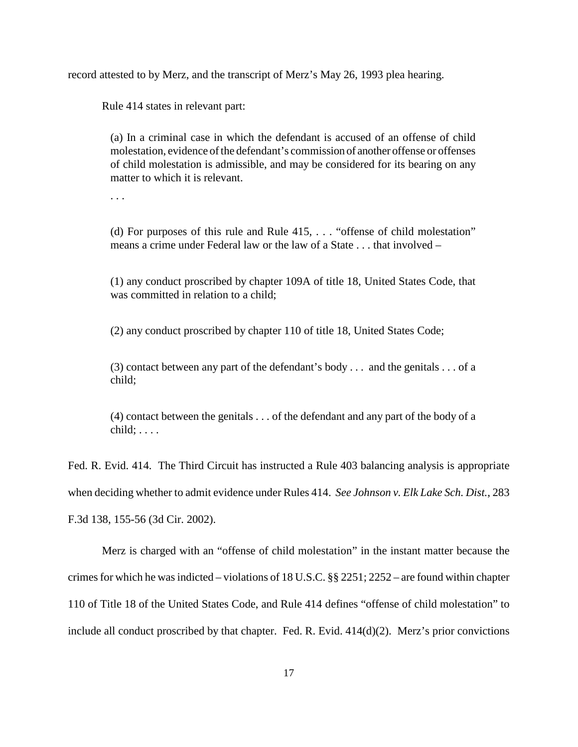record attested to by Merz, and the transcript of Merz's May 26, 1993 plea hearing.

Rule 414 states in relevant part:

(a) In a criminal case in which the defendant is accused of an offense of child molestation, evidence of the defendant's commission of another offense or offenses of child molestation is admissible, and may be considered for its bearing on any matter to which it is relevant.

. . .

(d) For purposes of this rule and Rule 415, . . . "offense of child molestation" means a crime under Federal law or the law of a State . . . that involved –

(1) any conduct proscribed by chapter 109A of title 18, United States Code, that was committed in relation to a child;

(2) any conduct proscribed by chapter 110 of title 18, United States Code;

(3) contact between any part of the defendant's body . . . and the genitals . . . of a child;

(4) contact between the genitals . . . of the defendant and any part of the body of a  $child; \ldots$ .

Fed. R. Evid. 414. The Third Circuit has instructed a Rule 403 balancing analysis is appropriate when deciding whether to admit evidence under Rules 414. *See Johnson v. Elk Lake Sch. Dist.*, 283 F.3d 138, 155-56 (3d Cir. 2002).

Merz is charged with an "offense of child molestation" in the instant matter because the crimes for which he was indicted – violations of 18 U.S.C.  $\S$ § 2251; 2252 – are found within chapter 110 of Title 18 of the United States Code, and Rule 414 defines "offense of child molestation" to include all conduct proscribed by that chapter. Fed. R. Evid. 414(d)(2). Merz's prior convictions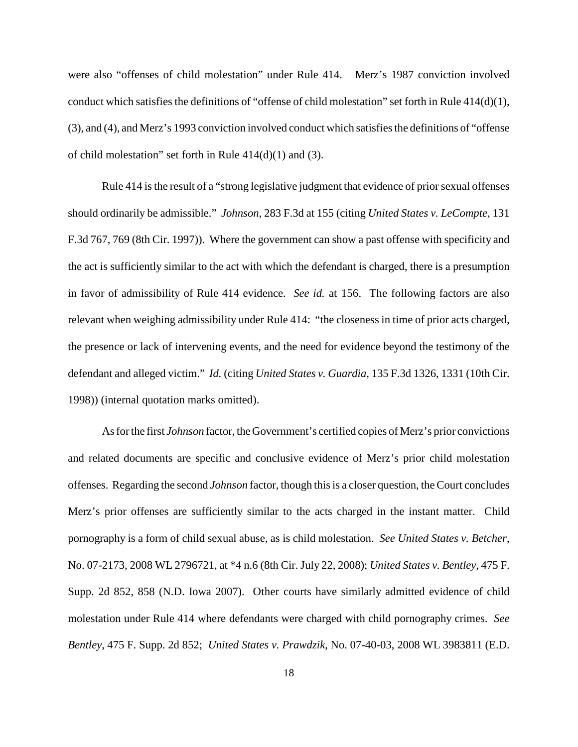were also "offenses of child molestation" under Rule 414. Merz's 1987 conviction involved conduct which satisfies the definitions of "offense of child molestation" set forth in Rule  $414(d)(1)$ , (3), and (4), and Merz's 1993 conviction involved conduct which satisfiesthe definitions of "offense of child molestation" set forth in Rule 414(d)(1) and (3).

Rule 414 is the result of a "strong legislative judgment that evidence of prior sexual offenses should ordinarily be admissible." *Johnson*, 283 F.3d at 155 (citing *United States v. LeCompte*, 131 F.3d 767, 769 (8th Cir. 1997)). Where the government can show a past offense with specificity and the act is sufficiently similar to the act with which the defendant is charged, there is a presumption in favor of admissibility of Rule 414 evidence. *See id.* at 156. The following factors are also relevant when weighing admissibility under Rule 414: "the closeness in time of prior acts charged, the presence or lack of intervening events, and the need for evidence beyond the testimony of the defendant and alleged victim." *Id.* (citing *United States v. Guardia*, 135 F.3d 1326, 1331 (10th Cir. 1998)) (internal quotation marks omitted).

Asforthe first *Johnson* factor, the Government's certified copies of Merz's prior convictions and related documents are specific and conclusive evidence of Merz's prior child molestation offenses. Regarding the second *Johnson* factor, though thisis a closer question, theCourt concludes Merz's prior offenses are sufficiently similar to the acts charged in the instant matter. Child pornography is a form of child sexual abuse, as is child molestation. *See United States v. Betcher*, No. 07-2173, 2008 WL 2796721, at \*4 n.6 (8th Cir. July 22, 2008); *United States v. Bentley*, 475 F. Supp. 2d 852, 858 (N.D. Iowa 2007). Other courts have similarly admitted evidence of child molestation under Rule 414 where defendants were charged with child pornography crimes. *See Bentley*, 475 F. Supp. 2d 852; *United States v. Prawdzik*, No. 07-40-03, 2008 WL 3983811 (E.D.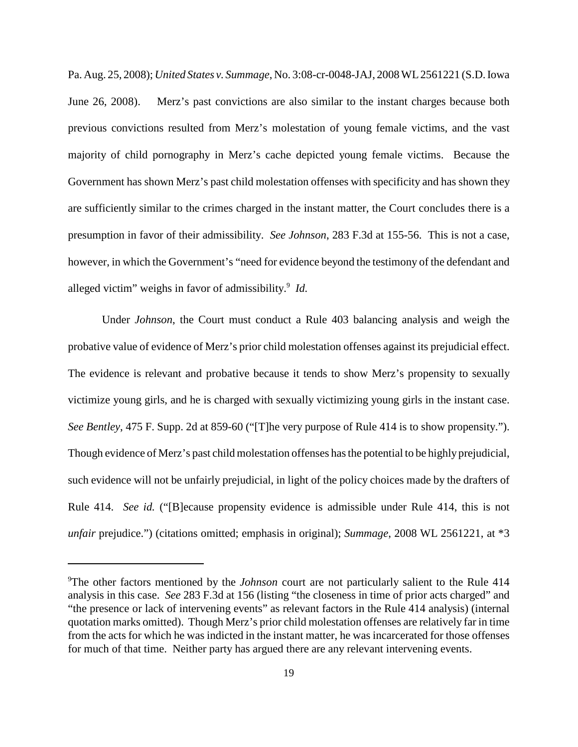Pa. Aug. 25, 2008); *United States v. Summage*, No. 3:08-cr-0048-JAJ, 2008WL2561221 (S.D.Iowa June 26, 2008). Merz's past convictions are also similar to the instant charges because both previous convictions resulted from Merz's molestation of young female victims, and the vast majority of child pornography in Merz's cache depicted young female victims. Because the Government has shown Merz's past child molestation offenses with specificity and has shown they are sufficiently similar to the crimes charged in the instant matter, the Court concludes there is a presumption in favor of their admissibility. *See Johnson*, 283 F.3d at 155-56. This is not a case, however, in which the Government's "need for evidence beyond the testimony of the defendant and alleged victim" weighs in favor of admissibility. <sup>9</sup> *Id.*

Under *Johnson*, the Court must conduct a Rule 403 balancing analysis and weigh the probative value of evidence of Merz's prior child molestation offenses against its prejudicial effect. The evidence is relevant and probative because it tends to show Merz's propensity to sexually victimize young girls, and he is charged with sexually victimizing young girls in the instant case. *See Bentley*, 475 F. Supp. 2d at 859-60 ("[T]he very purpose of Rule 414 is to show propensity."). Though evidence of Merz's past child molestation offenses hasthe potential to be highly prejudicial, such evidence will not be unfairly prejudicial, in light of the policy choices made by the drafters of Rule 414. *See id.* ("[B]ecause propensity evidence is admissible under Rule 414, this is not *unfair* prejudice.") (citations omitted; emphasis in original); *Summage*, 2008 WL 2561221, at \*3

<sup>9</sup> The other factors mentioned by the *Johnson* court are not particularly salient to the Rule 414 analysis in this case. *See* 283 F.3d at 156 (listing "the closeness in time of prior acts charged" and "the presence or lack of intervening events" as relevant factors in the Rule 414 analysis) (internal quotation marks omitted). Though Merz's prior child molestation offenses are relatively far in time from the acts for which he was indicted in the instant matter, he was incarcerated for those offenses for much of that time. Neither party has argued there are any relevant intervening events.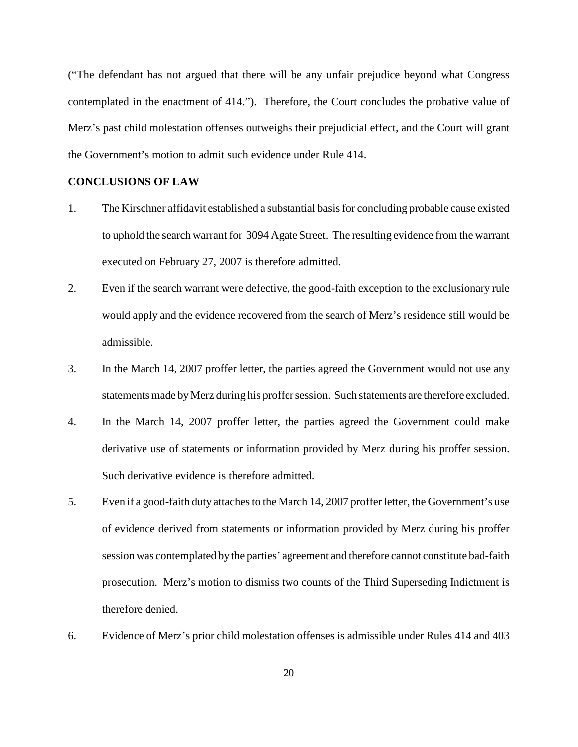("The defendant has not argued that there will be any unfair prejudice beyond what Congress contemplated in the enactment of 414."). Therefore, the Court concludes the probative value of Merz's past child molestation offenses outweighs their prejudicial effect, and the Court will grant the Government's motion to admit such evidence under Rule 414.

## **CONCLUSIONS OF LAW**

- 1. The Kirschner affidavit established a substantial basisfor concluding probable cause existed to uphold the search warrant for 3094 Agate Street. The resulting evidence from the warrant executed on February 27, 2007 is therefore admitted.
- 2. Even if the search warrant were defective, the good-faith exception to the exclusionary rule would apply and the evidence recovered from the search of Merz's residence still would be admissible.
- 3. In the March 14, 2007 proffer letter, the parties agreed the Government would not use any statements made by Merz during his proffer session. Such statements are therefore excluded.
- 4. In the March 14, 2007 proffer letter, the parties agreed the Government could make derivative use of statements or information provided by Merz during his proffer session. Such derivative evidence is therefore admitted.
- 5. Even if a good-faith duty attaches to the March 14, 2007 proffer letter, the Government's use of evidence derived from statements or information provided by Merz during his proffer session was contemplated bythe parties' agreement and therefore cannot constitute bad-faith prosecution. Merz's motion to dismiss two counts of the Third Superseding Indictment is therefore denied.
- 6. Evidence of Merz's prior child molestation offenses is admissible under Rules 414 and 403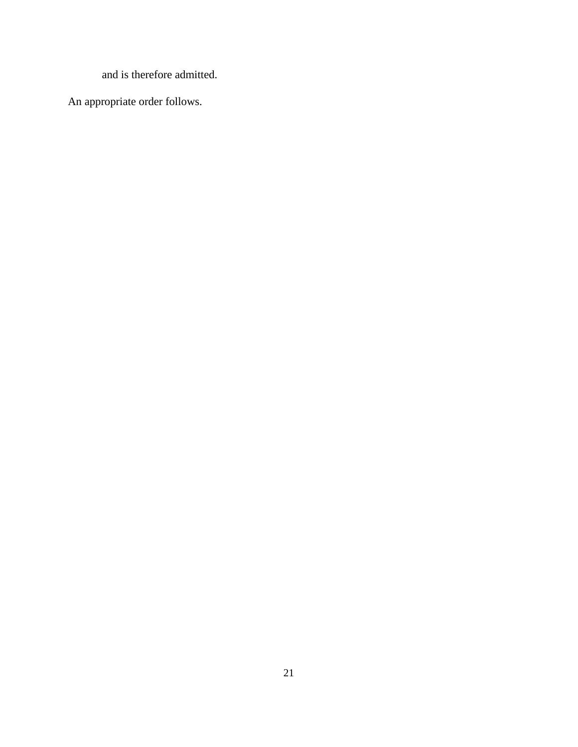and is therefore admitted.

An appropriate order follows.